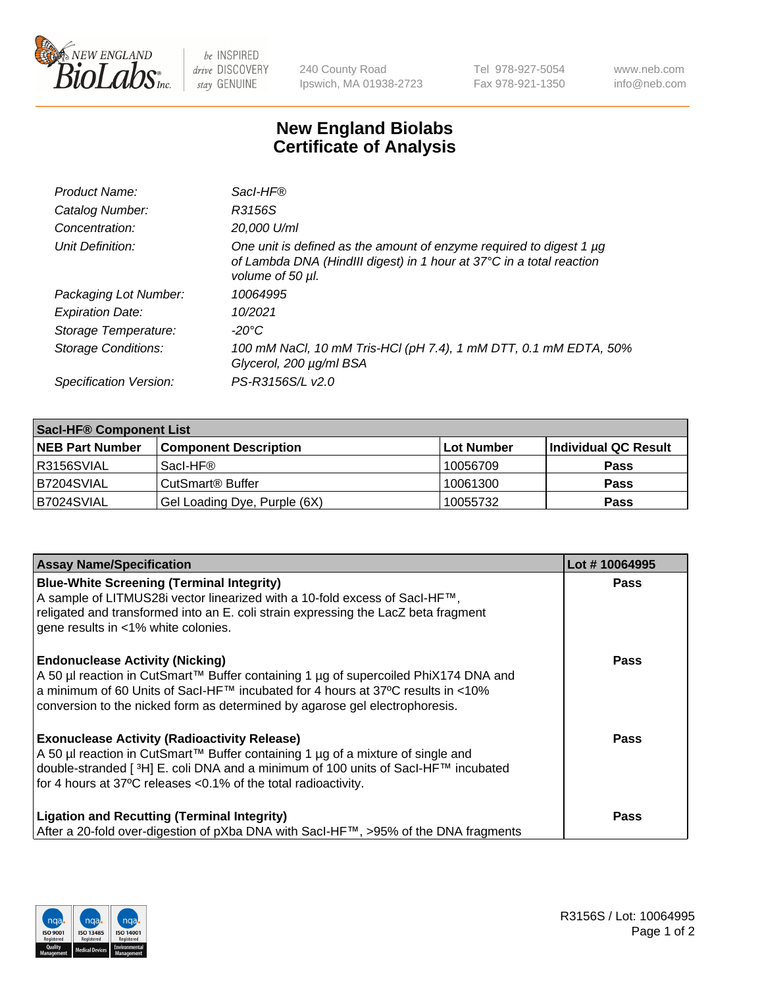

 $be$  INSPIRED drive DISCOVERY stay GENUINE

240 County Road Ipswich, MA 01938-2723 Tel 978-927-5054 Fax 978-921-1350 www.neb.com info@neb.com

## **New England Biolabs Certificate of Analysis**

| Product Name:              | Sacl-HF®                                                                                                                                                        |
|----------------------------|-----------------------------------------------------------------------------------------------------------------------------------------------------------------|
| Catalog Number:            | R3156S                                                                                                                                                          |
| Concentration:             | 20,000 U/ml                                                                                                                                                     |
| Unit Definition:           | One unit is defined as the amount of enzyme required to digest 1 µg<br>of Lambda DNA (HindIII digest) in 1 hour at 37°C in a total reaction<br>volume of 50 µl. |
| Packaging Lot Number:      | 10064995                                                                                                                                                        |
| <b>Expiration Date:</b>    | 10/2021                                                                                                                                                         |
| Storage Temperature:       | $-20^{\circ}$ C                                                                                                                                                 |
| <b>Storage Conditions:</b> | 100 mM NaCl, 10 mM Tris-HCl (pH 7.4), 1 mM DTT, 0.1 mM EDTA, 50%<br>Glycerol, 200 µg/ml BSA                                                                     |
| Specification Version:     | PS-R3156S/L v2.0                                                                                                                                                |

| <b>Saci-HF® Component List</b> |                              |            |                      |  |  |
|--------------------------------|------------------------------|------------|----------------------|--|--|
| <b>NEB Part Number</b>         | <b>Component Description</b> | Lot Number | Individual QC Result |  |  |
| I R3156SVIAL                   | Sacl-HF®                     | 10056709   | <b>Pass</b>          |  |  |
| B7204SVIAL                     | CutSmart <sup>®</sup> Buffer | 10061300   | <b>Pass</b>          |  |  |
| IB7024SVIAL                    | Gel Loading Dye, Purple (6X) | 10055732   | <b>Pass</b>          |  |  |

| <b>Assay Name/Specification</b>                                                                                                                                                                                                                                                                            | Lot #10064995 |
|------------------------------------------------------------------------------------------------------------------------------------------------------------------------------------------------------------------------------------------------------------------------------------------------------------|---------------|
| <b>Blue-White Screening (Terminal Integrity)</b><br>A sample of LITMUS28i vector linearized with a 10-fold excess of SacI-HF™,<br>religated and transformed into an E. coli strain expressing the LacZ beta fragment<br>gene results in <1% white colonies.                                                | <b>Pass</b>   |
| <b>Endonuclease Activity (Nicking)</b><br>A 50 µl reaction in CutSmart™ Buffer containing 1 µg of supercoiled PhiX174 DNA and<br>a minimum of 60 Units of Sacl-HF™ incubated for 4 hours at 37°C results in <10%<br>conversion to the nicked form as determined by agarose gel electrophoresis.            | <b>Pass</b>   |
| <b>Exonuclease Activity (Radioactivity Release)</b><br>A 50 µl reaction in CutSmart™ Buffer containing 1 µg of a mixture of single and<br>double-stranded [ <sup>3</sup> H] E. coli DNA and a minimum of 100 units of Sacl-HF™ incubated<br>for 4 hours at 37°C releases <0.1% of the total radioactivity. | <b>Pass</b>   |
| <b>Ligation and Recutting (Terminal Integrity)</b><br>After a 20-fold over-digestion of pXba DNA with Sacl-HF™, >95% of the DNA fragments                                                                                                                                                                  | <b>Pass</b>   |